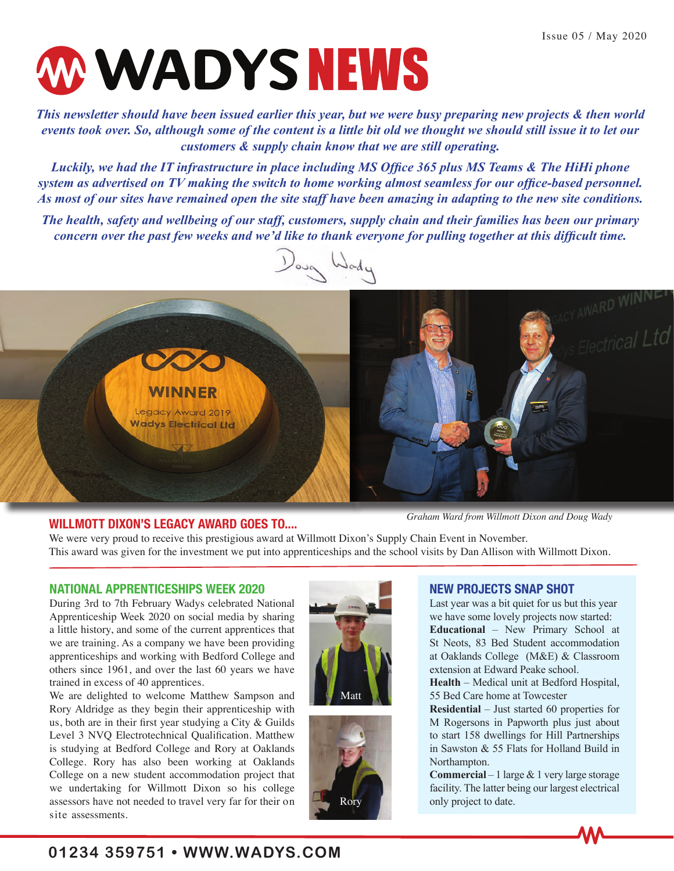

This newsletter should have been issued earlier this year, but we were busy preparing new projects & then world **EXECUTE:** 1999, and significantly since content is a time on our monght me she<br>customers & supply chain know that we are still operating. *events took over. So, although some of the content is a little bit old we thought we should still issue it to let our* 

*Luckily, we had the IT infrastructure in place including MS Office 365 plus MS Teams & The HiHi phone system as advertised on TV making the switch to home working almost seamless for our office-based personnel. As most of our sites have remained open the site staff have been amazing in adapting to the new site conditions.* 

*The health, safety and wellbeing of our staff, customers, supply chain and their families has been our primary concern over the past few weeks and we'd like to thank everyone for pulling together at this difficult time.*



#### **WILLMOTT DIXON'S LEGACY AWARD GOES TO....**

*Graham Ward from Willmott Dixon and Doug Wady*

We were very proud to receive this prestigious award at Willmott Dixon's Supply Chain Event in November. This award was given for the investment we put into apprenticeships and the school visits by Dan Allison with Willmott Dixon.

#### **NATIONAL APPRENTICESHIPS WEEK 2020**

During 3rd to 7th February Wadys celebrated National Apprenticeship Week 2020 on social media by sharing a little history, and some of the current apprentices that we are training. As a company we have been providing apprenticeships and working with Bedford College and others since 1961, and over the last 60 years we have trained in excess of 40 apprentices.

We are delighted to welcome Matthew Sampson and Rory Aldridge as they begin their apprenticeship with us, both are in their first year studying a City & Guilds Level 3 NVQ Electrotechnical Qualification. Matthew is studying at Bedford College and Rory at Oaklands College. Rory has also been working at Oaklands College on a new student accommodation project that we undertaking for Willmott Dixon so his college assessors have not needed to travel very far for their on site assessments.





#### **NEW PROJECTS SNAP SHOT**

Last year was a bit quiet for us but this year we have some lovely projects now started: **Educational** – New Primary School at St Neots, 83 Bed Student accommodation at Oaklands College (M&E) & Classroom extension at Edward Peake school. **Health** – Medical unit at Bedford Hospital,

55 Bed Care home at Towcester

**Residential** – Just started 60 properties for M Rogersons in Papworth plus just about to start 158 dwellings for Hill Partnerships in Sawston & 55 Flats for Holland Build in Northampton.

**Commercial** – 1 large & 1 very large storage facility. The latter being our largest electrical only project to date.

# **01234 359751 • WWW.WADYS.COM**